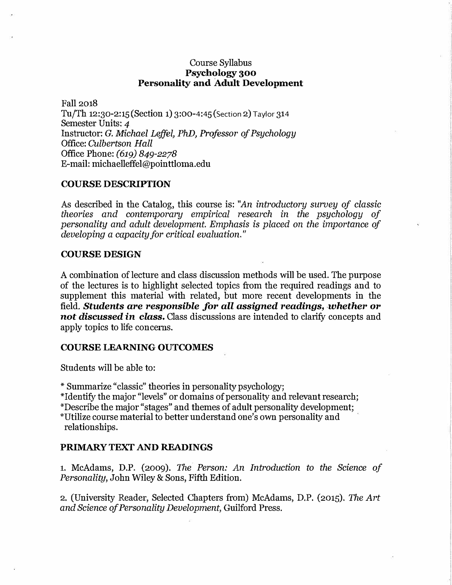# Course Syllabus Psychology 300 Personality and Adult Development

Fall 2018 Tu/Th 12:30-2:15 (Section 1) 3:00-<sup>4</sup>:<sup>4</sup>5 (Section 2) Taylor 31<sup>4</sup> Semester Units: 4 Instructor: *G. Michael Leffel, PhD, Professor of Psychology*  Office: *Culbertson Hall*  Office Phone: *(619) 849-2278*  E-mail: michaelleffel@pointtloma.edu

## **COURSE DESCRIPTION**

As described in the Catalog, this course is: *"An introductory survey of classic theories and contemporary empirical research in the psychology of personality and adult development. Emphasis is placed on the importance of developing a capacity for critical evaluation."* 

## **COURSE DESIGN**

A combination of lecture and class discussion methods will be used. The purpose of the lectures is to highlight selected topics from the required readings and to supplement this material with related, but more recent developments in the field. *Students are responsible for all assigned readings, whether or not discussed in class,* Class discussions are intended to clarify concepts and apply topics to life concerns.

## **COURSE LEARNING OUTCOMES**

Students will be able to:

·• Summarize "classic" theories in personality psychology;

\*Identify the major "levels" or domains of personality and relevant research;

\*Describe the major "stages" and themes of adult personality development;

•·utilize course material to better understand one's own personality and relationships.

# **PRIMARY TEXT AND READINGS**

1. McAdams, D.P. (2009). The *Person: An Introduction to the Science of Personality,* John Wiley & Sons, Fifth Edition.

2. (University Reader, Selected Chapters from) McAdams, D.P. (2015). The *Art and Science of Personality Development,* Guilford Press.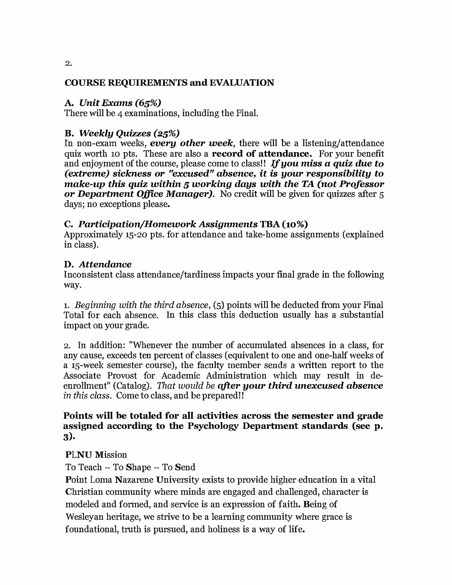# COURSE REQUIREMENTS and EVALUATION

# A. *Unit Exams (65%)*

There will be 4 examinations, including the Final.

# **B.** *Weekly Quizzes (25%)*

In non-exam weeks, *every other week,* there will be a listening/attendance quiz worth 10 pts. These are also a **record of attendance.** For your benefit and enjoyment of the course, please come to class!! If you miss a quiz due to *(extreme)* sickness *or "excused" absence, it is your responsibility* to *make-up this quiz within 5 working days with the TA (not Professor or Department* Office *Manager).* No credit will be given for quizzes after 5 days; no exceptions please.

# C. *Participation/Homework Assignments* TBA (10%)

Approximately 15-20 pts. for attendance and take-home assignments (explained in class).

# D. *Attendance*

Inconsistent class attendance/tardiness impacts your final grade in the following way.

1. *Beginning with the third absence,* (5) points will be deducted from your Final Total for each absence. In this class this deduction usually has a substantial impact on your grade.

2. In addition: "Whenever the number of accumulated absences in a class, for any cause, exceeds ten percent of classes (equivalent to one and one-half weeks of a 15-week semester course), the faculty member sends a written report to the Associate Provost for Academic Administration which may result in deenrollment" (Catalog). *That would be qfter your third unexcused absence in this class.* Come to class, and be prepared!!

# Points will be totaled for all activities across the semester and grade assigned according to the Psychology Department standards (see p. 3).

# PLNU Mission

To Teach ~ To Shape ~ To Send

Point Loma Nazarene University exists to provide higher education in a vital Christian community where minds are engaged and challenged, character is modeled and formed, and service is an expression of faith. Being of Wesleyan heritage, we strive to be a learning community where grace is foundational, truth is pursued, and holiness is a way of life.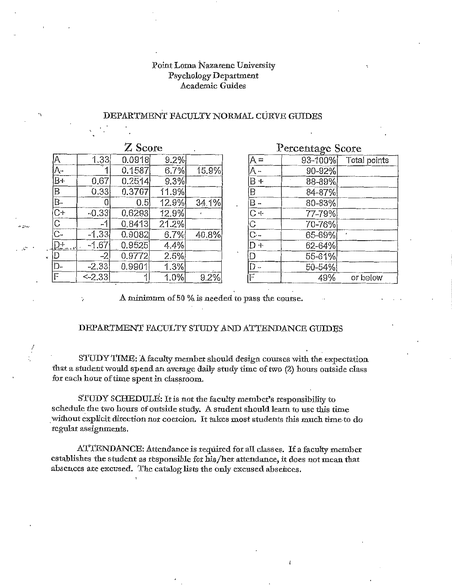## Point Loma Nazarene University **Psychology Department** Academic Guides

### DEPARTMENT FACULTY NORMAL CURVE GUIDES

| Z Score                             |          |        |       |       |
|-------------------------------------|----------|--------|-------|-------|
| $\overline{A}$                      | 1.33     | 0.0918 | 9.2%  |       |
| $\frac{\overline{A}}{B+}$           |          | 0.1587 | 6.7%  | 15.9% |
|                                     | 0.67     | 0.2514 | 9.3%  |       |
| $\overline{\mathsf{B}}$             | 0.33     | 0.3707 | 11.9% |       |
| $\overline{B}$                      | 0        | 0.5    | 12.9% | 34.1% |
| $\overline{C+}$                     | $-0.33$  | 0.6293 | 12.9% |       |
| $\frac{\overline{C}}{\overline{C}}$ | -1       | 0.8413 | 21.2% |       |
|                                     | $-1.33$  | 0.9082 | 6.7%  | 40.8% |
| ₽÷.                                 | $-1.67$  | 0.9525 | 4.4%  |       |
| D                                   | -2       | 0.9772 | 2.5%  |       |
| $\overline{D}$ -                    | $-2.33$  | 0.9901 | 1.3%  |       |
| F                                   | $<-2.33$ |        | 1.0%  | 9.2%  |

۰,

| Percentage Score                    |        |                      |  |  |
|-------------------------------------|--------|----------------------|--|--|
|                                     |        | 93-100% Total points |  |  |
|                                     | 90-92% |                      |  |  |
|                                     | 88-89% |                      |  |  |
|                                     | 84-87% |                      |  |  |
| $\frac{A = - +}{B - B}$             | 80-83% |                      |  |  |
|                                     | 77-79% |                      |  |  |
|                                     | 70-76% |                      |  |  |
|                                     | 65-69% |                      |  |  |
| $\overline{D+}$                     | 62-64% |                      |  |  |
| $\overline{\mathsf{D}}$             | 55-61% |                      |  |  |
| $\frac{\overline{D}}{\overline{F}}$ | 50-54% |                      |  |  |
|                                     | 49%    | or below             |  |  |

A minimum of 50 % is needed to pass the course.

#### DEPARTMENT FACULTY STUDY AND ATTENDANCE GUIDES

STUDY TIME: A faculty member should design courses with the expectation that a student would spend an average daily study time of two (2) hours outside class for each hour of time spent in classroom.

STUDY SCHEDULE: It is not the faculty member's responsibility to schedule the two hours of outside study. A student should learn to use this time without explicit direction nor coercion. It takes most students this much time to do regular assignments.

ATTENDANCE: Attendance is required for all classes. If a faculty member establishes the student as responsible for his/her attendance, it does not mean that absences are excused. The catalog lists the only excused absences.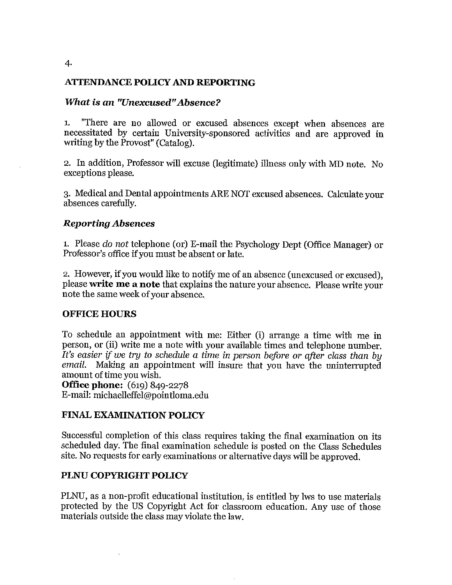# **ATTENDANCE POLICY AND REPORTING**

## **What is an "Unexcused" Absence?**

"There are no allowed or excused absences except when absences are  $\mathbf{1}$ . necessitated by certain University-sponsored activities and are approved in writing by the Provost" (Catalog).

2. In addition, Professor will excuse (legitimate) illness only with MD note. No exceptions please.

3. Medical and Dental appointments ARE NOT excused absences. Calculate your absences carefully.

## **Reporting Absences**

1. Please do not telephone (or) E-mail the Psychology Dept (Office Manager) or Professor's office if you must be absent or late.

2. However, if you would like to notify me of an absence (unexcused or excused), please write me a note that explains the nature your absence. Please write your note the same week of your absence.

# **OFFICE HOURS**

To schedule an appointment with me: Either (i) arrange a time with me in person, or (ii) write me a note with your available times and telephone number. It's easier if we try to schedule a time in person before or after class than by email. Making an appointment will insure that you have the uninterrupted amount of time you wish.

**Office phone:** (619) 849-2278 E-mail: michaelleffel@pointloma.edu

# **FINAL EXAMINATION POLICY**

Successful completion of this class requires taking the final examination on its scheduled day. The final examination schedule is posted on the Class Schedules site. No requests for early examinations or alternative days will be approved.

# PLNU COPYRIGHT POLICY

PLNU, as a non-profit educational institution, is entitled by lws to use materials protected by the US Copyright Act for classroom education. Any use of those materials outside the class may violate the law.

 $\overline{4}$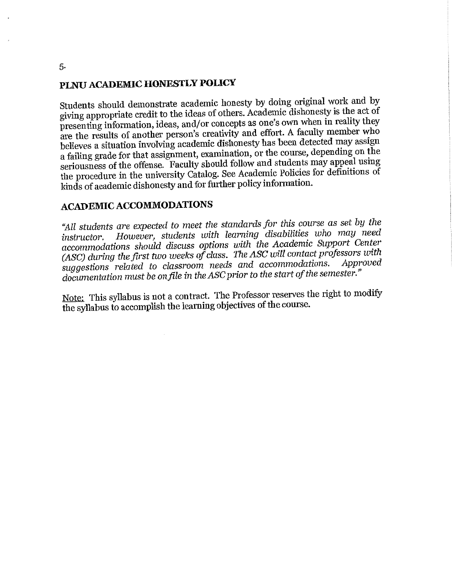# PLNU ACADEMIC HONESTLY POLICY

Students should demonstrate academic honesty by doing original work and by giving appropriate credit to the ideas of others. Academic dishonesty is the act of presenting information, ideas, and/or concepts as one's own when in reality they are the results of another person's creativity and effort. A faculty member who believes a situation involving academic dishonesty has been detected may assign a failing grade for that assignment, examination, or the course, depending on the seriousness of the offense. Faculty should follow and students may appeal using the procedure in the university Catalog. See Academic Policies for definitions of kinds of academic dishonesty and for further policy information.

# **ACADEMIC ACCOMMODATIONS**

"All students are expected to meet the standards for this course as set by the However, students with learning disabilities who may need *instructor.* accommodations should discuss options with the Academic Support Center (ASC) during the first two weeks of class. The ASC will contact professors with suggestions related to classroom needs and accommodations. Approved documentation must be on file in the ASC prior to the start of the semester."

Note: This syllabus is not a contract. The Professor reserves the right to modify the syllabus to accomplish the learning objectives of the course.

5.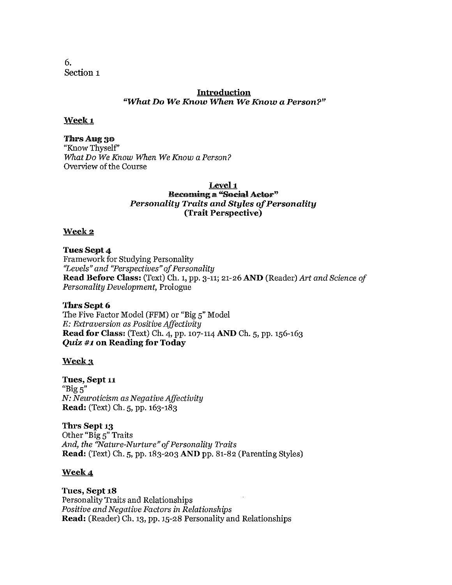6. Section 1

## **Introduction** "What Do We Know When We Know a Person?"

## Week<sub>1</sub>

#### Thrs Aug 30

"Know Thyself" What Do We Know When We Know a Person? Overview of the Course

### Level 1 **Becoming a "Social Actor"** Personality Traits and Styles of Personality (Trait Perspective)

### Week 2

**Tues Sept 4** 

**Framework for Studying Personality** "Levels" and "Perspectives" of Personality **Read Before Class:** (Text) Ch. 1, pp. 3-11; 21-26 AND (Reader) Art and Science of Personality Development, Prologue

### Thrs Sept 6

The Five Factor Model (FFM) or "Big 5" Model E: Extraversion as Positive Affectivity Read for Class: (Text) Ch. 4, pp. 107-114 AND Ch. 5, pp. 156-163 **Quiz #1 on Reading for Today** 

### Week 3

Tues, Sept 11 " $Big 5"$ N: Neuroticism as Negative Affectivity Read: (Text) Ch. 5, pp. 163-183

Thrs Sept 13 Other "Big 5" Traits And, the "Nature-Nurture" of Personality Traits Read: (Text) Ch. 5, pp. 183-203 AND pp. 81-82 (Parenting Styles)

## Week 4

Tues, Sept 18 Personality Traits and Relationships Positive and Negative Factors in Relationships Read: (Reader) Ch. 13, pp. 15-28 Personality and Relationships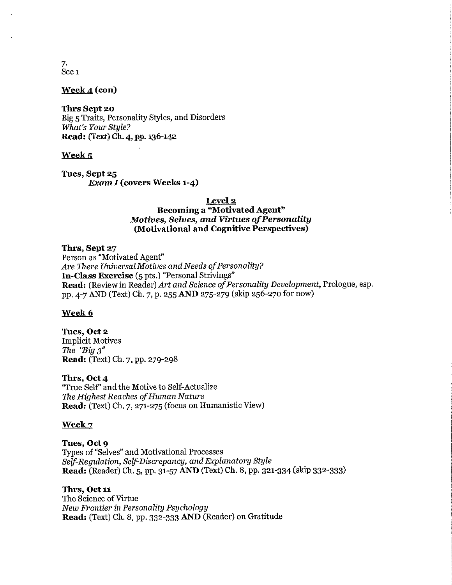7. Sec<sub>1</sub>

Week 4 (con)

**Thrs Sept 20** Big 5 Traits, Personality Styles, and Disorders What's Your Stule? Read: (Text) Ch. 4, pp. 136-142

### Week<sub>5</sub>

Tues, Sept 25 **Exam I (covers Weeks 1-4)** 

Level<sub>2</sub>

### **Becoming a "Motivated Agent"** Motives, Selves, and Virtues of Personality (Motivational and Cognitive Perspectives)

Thrs, Sept 27

Person as "Motivated Agent" Are There Universal Motives and Needs of Personality? **In-Class Exercise** (5 pts.) "Personal Strivings" Read: (Review in Reader) Art and Science of Personality Development, Prologue, esp. pp. 4-7 AND (Text) Ch. 7, p. 255 AND 275-279 (skip 256-270 for now)

### Week 6

Tues, Oct 2 **Implicit Motives** The "Big  $3$ " Read: (Text) Ch. 7, pp. 279-298

Thrs, Oct 4 "True Self" and the Motive to Self-Actualize The Highest Reaches of Human Nature Read: (Text) Ch. 7, 271-275 (focus on Humanistic View)

#### Week 7

Tues, Oct 9 Types of "Selves" and Motivational Processes Self-Requlation, Self-Discrepancy, and Explanatory Style Read: (Reader) Ch. 5, pp. 31-57 AND (Text) Ch. 8, pp. 321-334 (skip 332-333)

Thrs. Oct 11

The Science of Virtue New Frontier in Personality Psychology Read: (Text) Ch. 8, pp. 332-333 AND (Reader) on Gratitude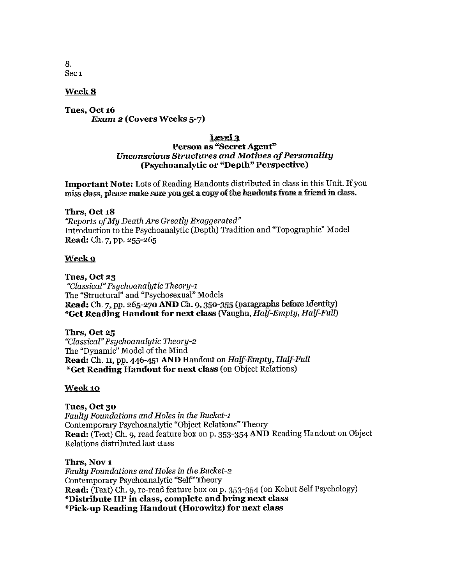8. Sec<sub>1</sub>

### Week 8

Tues, Oct 16 **Exam 2 (Covers Weeks 5-7)** 

### Level 3 Person as "Secret Agent" **Unconscious Structures and Motives of Personality** (Psychoanalytic or "Depth" Perspective)

Important Note: Lots of Reading Handouts distributed in class in this Unit. If you miss class, please make sure you get a copy of the handouts from a friend in class.

#### Thrs, Oct 18

"Reports of My Death Are Greatly Exaggerated" Introduction to the Psychoanalytic (Depth) Tradition and "Topographic" Model Read: Ch. 7, pp. 255-265

#### Week 9

Tues, Oct 23 "Classical" Psychoanalytic Theory-1 The "Structural" and "Psychosexual" Models Read: Ch. 7, pp. 265-270 AND Ch. 9, 350-355 (paragraphs before Identity) \*Get Reading Handout for next class (Vaughn, Half-Empty, Half-Full)

Thrs, Oct 25 "Classical" Psychoanalytic Theory-2 The "Dynamic" Model of the Mind Read: Ch. 11, pp. 446-451 AND Handout on Half-Empty, Half-Full \*Get Reading Handout for next class (on Object Relations)

### Week 10

### Tues, Oct 30

Faulty Foundations and Holes in the Bucket-1 Contemporary Psychoanalytic "Object Relations" Theory Read: (Text) Ch. 9, read feature box on p. 353-354 AND Reading Handout on Object Relations distributed last class

Thrs. Nov 1 Faulty Foundations and Holes in the Bucket-2 Contemporary Psychoanalytic "Self" Theory Read: (Text) Ch. 9, re-read feature box on p. 353-354 (on Kohut Self Psychology) \*Distribute IIP in class, complete and bring next class \*Pick-up Reading Handout (Horowitz) for next class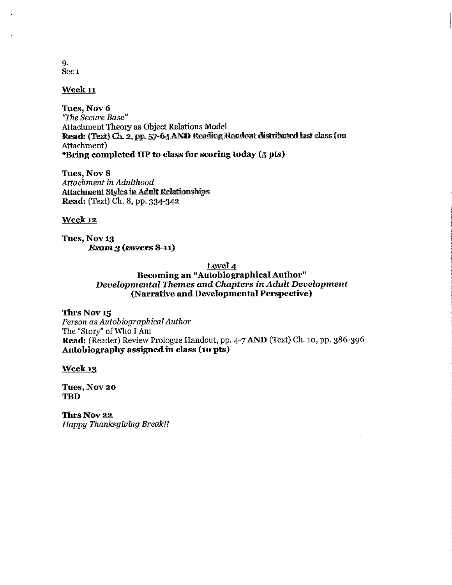$Q_{\star}$ Sec<sub>1</sub>

## **Week 11**

Tues, Nov 6 "The Secure Base" **Attachment Theory as Object Relations Model** Read: (Text) Ch. 2, pp. 57-64 AND Reading Handout distributed last class (on Attachment) \*Bring completed IIP to class for scoring today (5 pts)

Tues, Nov 8 Attachment in Adulthood **Attachment Styles in Adult Relationships** Read: (Text) Ch. 8, pp. 334-342

#### **Week 12**

Tues, Nov 13  $Example 3$  (covers 8-11)

#### Level 4

Becoming an "Autobiographical Author" Developmental Themes and Chapters in Adult Development (Narrative and Developmental Perspective)

Thrs Nov 15 Person as Autobiographical Author The "Story" of Who I Am Read: (Reader) Review Prologue Handout, pp. 4-7 AND (Text) Ch. 10, pp. 386-396 Autobiography assigned in class (10 pts)

**Week 13** 

Tues, Nov 20 **TBD** 

Thrs Nov 22 **Happy Thanksgiving Break!!**